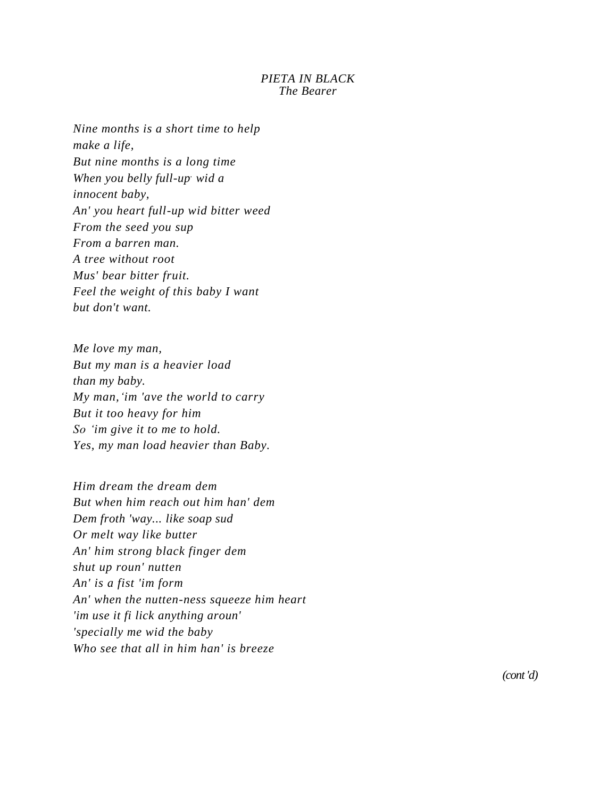## *PIETA IN BLACK The Bearer*

*Nine months is a short time to help make a life, But nine months is a long time When you belly full-up. wid a innocent baby, An' you heart full-up wid bitter weed From the seed you sup From a barren man. A tree without root Mus' bear bitter fruit. Feel the weight of this baby I want but don't want.*

*Me love my man, But my man is a heavier load than my baby. My man,'im 'ave the world to carry But it too heavy for him So 'im give it to me to hold. Yes, my man load heavier than Baby.*

*Him dream the dream dem But when him reach out him han' dem Dem froth 'way... like soap sud Or melt way like butter An' him strong black finger dem shut up roun' nutten An' is a fist 'im form An' when the nutten-ness squeeze him heart 'im use it fi lick anything aroun' 'specially me wid the baby Who see that all in him han' is breeze*

*(cont 'd)*